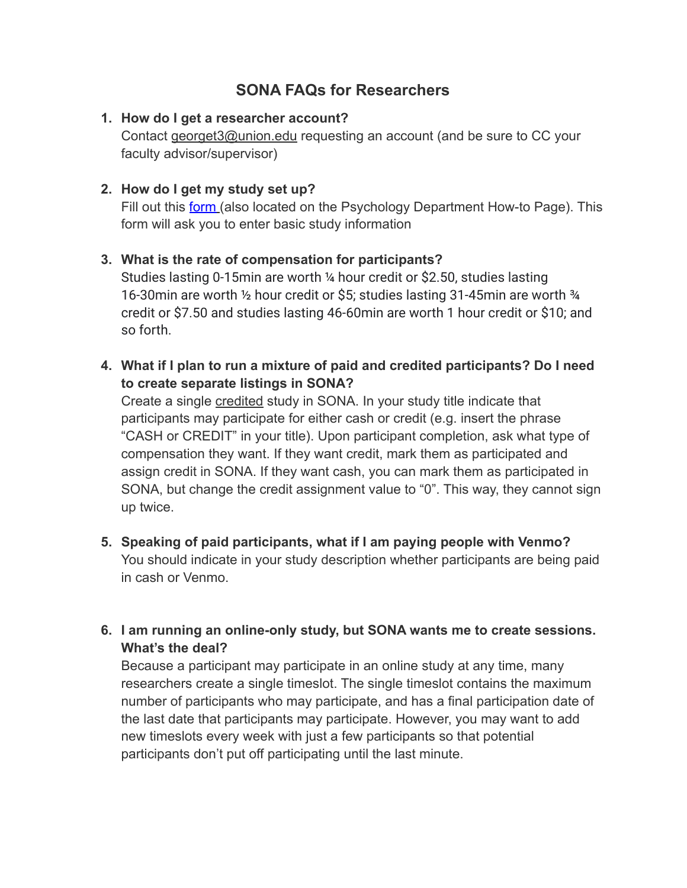# **SONA FAQs for Researchers**

### **1. How do I get a researcher account?**

Contact [georget3@union.edu](mailto:georget3@union.edu) requesting an account (and be sure to CC your faculty advisor/supervisor)

### **2. How do I get my study set up?**

Fill out this [form](https://docs.google.com/forms/d/e/1FAIpQLSdTxqn1c3H65JBbsivdlD68eakPpq0wjD49PJNw757E7IkH_w/viewform) (also located on the Psychology Department How-to Page). This form will ask you to enter basic study information

#### **3. What is the rate of compensation for participants?**

Studies lasting 0-15min are worth ¼ hour credit or \$2.50, studies lasting 16-30min are worth ½ hour credit or \$5; studies lasting 31-45min are worth ¾ credit or \$7.50 and studies lasting 46-60min are worth 1 hour credit or \$10; and so forth.

**4. What if I plan to run a mixture of paid and credited participants? Do I need to create separate listings in SONA?**

Create a single credited study in SONA. In your study title indicate that participants may participate for either cash or credit (e.g. insert the phrase "CASH or CREDIT" in your title). Upon participant completion, ask what type of compensation they want. If they want credit, mark them as participated and assign credit in SONA. If they want cash, you can mark them as participated in SONA, but change the credit assignment value to "0". This way, they cannot sign up twice.

- **5. Speaking of paid participants, what if I am paying people with Venmo?** You should indicate in your study description whether participants are being paid in cash or Venmo.
- **6. I am running an online-only study, but SONA wants me to create sessions. What's the deal?**

Because a participant may participate in an online study at any time, many researchers create a single timeslot. The single timeslot contains the maximum number of participants who may participate, and has a final participation date of the last date that participants may participate. However, you may want to add new timeslots every week with just a few participants so that potential participants don't put off participating until the last minute.